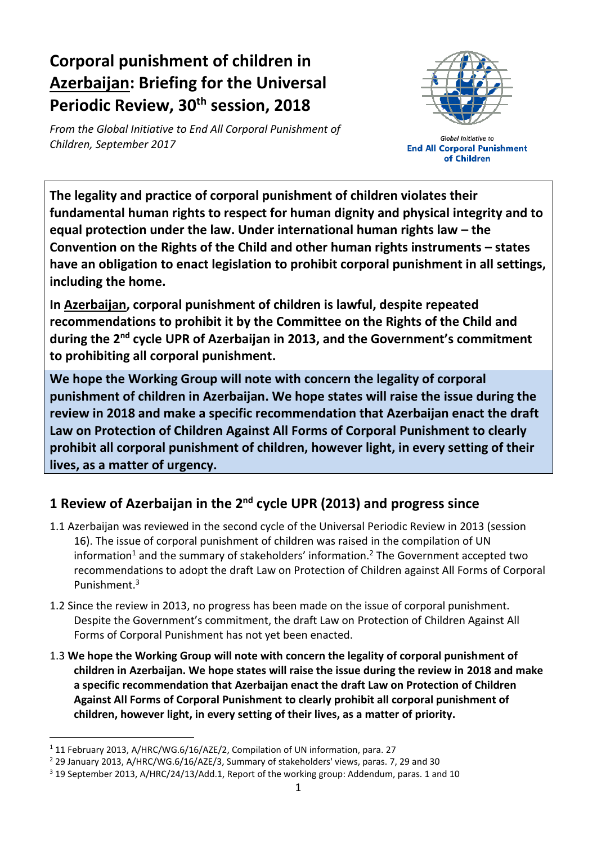# **Corporal punishment of children in Azerbaijan: Briefing for the Universal Periodic Review, 30th session, 2018**

*From the Global Initiative to End All Corporal Punishment of Children, September 2017*



**Global Initiative to End All Corporal Punishment** of Children

**The legality and practice of corporal punishment of children violates their fundamental human rights to respect for human dignity and physical integrity and to equal protection under the law. Under international human rights law – the Convention on the Rights of the Child and other human rights instruments – states have an obligation to enact legislation to prohibit corporal punishment in all settings, including the home.**

**In Azerbaijan, corporal punishment of children is lawful, despite repeated recommendations to prohibit it by the Committee on the Rights of the Child and during the 2 nd cycle UPR of Azerbaijan in 2013, and the Government's commitment to prohibiting all corporal punishment.** 

**We hope the Working Group will note with concern the legality of corporal punishment of children in Azerbaijan. We hope states will raise the issue during the review in 2018 and make a specific recommendation that Azerbaijan enact the draft Law on Protection of Children Against All Forms of Corporal Punishment to clearly prohibit all corporal punishment of children, however light, in every setting of their lives, as a matter of urgency.**

# **1 Review of Azerbaijan in the 2nd cycle UPR (2013) and progress since**

- 1.1 Azerbaijan was reviewed in the second cycle of the Universal Periodic Review in 2013 (session 16). The issue of corporal punishment of children was raised in the compilation of UN information<sup>1</sup> and the summary of stakeholders' information.<sup>2</sup> The Government accepted two recommendations to adopt the draft Law on Protection of Children against All Forms of Corporal Punishment.<sup>3</sup>
- 1.2 Since the review in 2013, no progress has been made on the issue of corporal punishment. Despite the Government's commitment, the draft Law on Protection of Children Against All Forms of Corporal Punishment has not yet been enacted.
- 1.3 **We hope the Working Group will note with concern the legality of corporal punishment of children in Azerbaijan. We hope states will raise the issue during the review in 2018 and make a specific recommendation that Azerbaijan enact the draft Law on Protection of Children Against All Forms of Corporal Punishment to clearly prohibit all corporal punishment of children, however light, in every setting of their lives, as a matter of priority.**

 $\overline{a}$ 

<sup>&</sup>lt;sup>1</sup> 11 February 2013, A/HRC/WG.6/16/AZE/2, Compilation of UN information, para. 27

<sup>2</sup> 29 January 2013, A/HRC/WG.6/16/AZE/3, Summary of stakeholders' views, paras. 7, 29 and 30

 $3$  19 September 2013, A/HRC/24/13/Add.1, Report of the working group: Addendum, paras. 1 and 10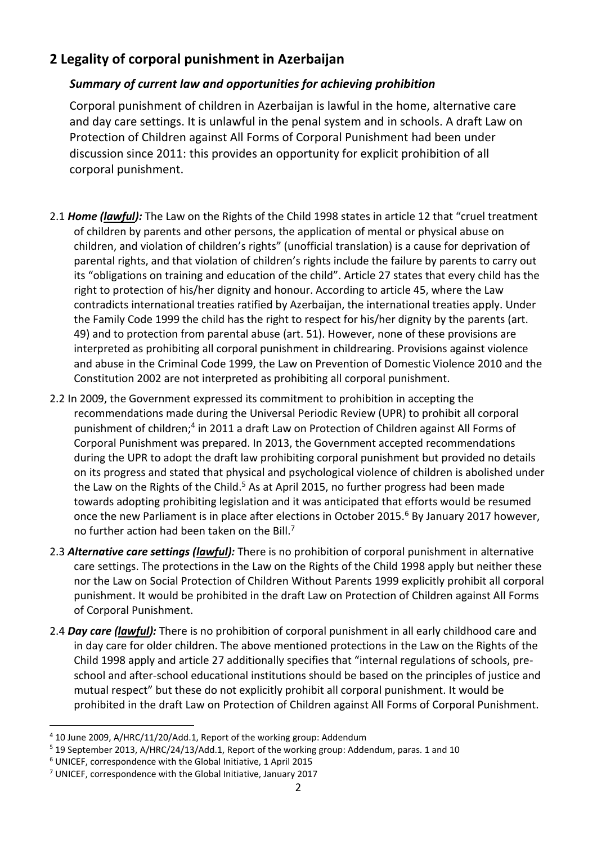## **2 Legality of corporal punishment in Azerbaijan**

#### *Summary of current law and opportunities for achieving prohibition*

Corporal punishment of children in Azerbaijan is lawful in the home, alternative care and day care settings. It is unlawful in the penal system and in schools. A draft Law on Protection of Children against All Forms of Corporal Punishment had been under discussion since 2011: this provides an opportunity for explicit prohibition of all corporal punishment.

- 2.1 *Home (lawful):* The Law on the Rights of the Child 1998 states in article 12 that "cruel treatment of children by parents and other persons, the application of mental or physical abuse on children, and violation of children's rights" (unofficial translation) is a cause for deprivation of parental rights, and that violation of children's rights include the failure by parents to carry out its "obligations on training and education of the child". Article 27 states that every child has the right to protection of his/her dignity and honour. According to article 45, where the Law contradicts international treaties ratified by Azerbaijan, the international treaties apply. Under the Family Code 1999 the child has the right to respect for his/her dignity by the parents (art. 49) and to protection from parental abuse (art. 51). However, none of these provisions are interpreted as prohibiting all corporal punishment in childrearing. Provisions against violence and abuse in the Criminal Code 1999, the Law on Prevention of Domestic Violence 2010 and the Constitution 2002 are not interpreted as prohibiting all corporal punishment.
- 2.2 In 2009, the Government expressed its commitment to prohibition in accepting the recommendations made during the Universal Periodic Review (UPR) to prohibit all corporal punishment of children;<sup>4</sup> in 2011 a draft Law on Protection of Children against All Forms of Corporal Punishment was prepared. In 2013, the Government accepted recommendations during the UPR to adopt the draft law prohibiting corporal punishment but provided no details on its progress and stated that physical and psychological violence of children is abolished under the Law on the Rights of the Child.<sup>5</sup> As at April 2015, no further progress had been made towards adopting prohibiting legislation and it was anticipated that efforts would be resumed once the new Parliament is in place after elections in October 2015.<sup>6</sup> By January 2017 however, no further action had been taken on the Bill.<sup>7</sup>
- 2.3 *Alternative care settings (lawful):* There is no prohibition of corporal punishment in alternative care settings. The protections in the Law on the Rights of the Child 1998 apply but neither these nor the Law on Social Protection of Children Without Parents 1999 explicitly prohibit all corporal punishment. It would be prohibited in the draft Law on Protection of Children against All Forms of Corporal Punishment.
- 2.4 *Day care (lawful):* There is no prohibition of corporal punishment in all early childhood care and in day care for older children. The above mentioned protections in the Law on the Rights of the Child 1998 apply and article 27 additionally specifies that "internal regulations of schools, preschool and after-school educational institutions should be based on the principles of justice and mutual respect" but these do not explicitly prohibit all corporal punishment. It would be prohibited in the draft Law on Protection of Children against All Forms of Corporal Punishment.

 $\overline{a}$ <sup>4</sup> 10 June 2009, A/HRC/11/20/Add.1, Report of the working group: Addendum

<sup>5</sup> 19 September 2013, A/HRC/24/13/Add.1, Report of the working group: Addendum, paras. 1 and 10

<sup>6</sup> UNICEF, correspondence with the Global Initiative, 1 April 2015

 $<sup>7</sup>$  UNICEF, correspondence with the Global Initiative, January 2017</sup>